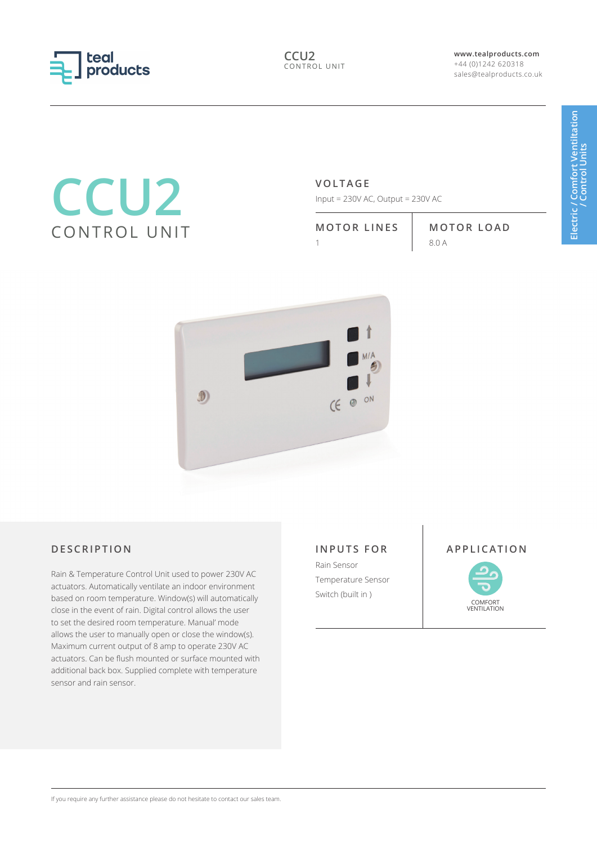

**www.tealproducts.com** +44 (0)1242 620318 sales@tealproducts.co.uk

# **CCU2** CONTROL UNIT

# **VOLTAGE**

Input = 230V AC, Output = 230V AC

**MOTOR LINES MOTOR LOAD**

1 8.0 A



Rain & Temperature Control Unit used to power 230V AC actuators. Automatically ventilate an indoor environment based on room temperature. Window(s) will automatically close in the event of rain. Digital control allows the user to set the desired room temperature. Manual' mode allows the user to manually open or close the window(s). Maximum current output of 8 amp to operate 230V AC actuators. Can be flush mounted or surface mounted with additional back box. Supplied complete with temperature sensor and rain sensor.

## **INPUTS FOR**

Rain Sensor Temperature Sensor Switch (built in )

## **DESCRIPTION APPLICATION**